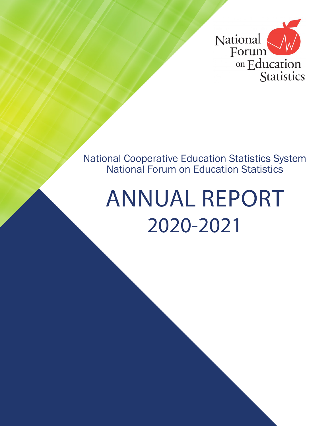

National Cooperative Education Statistics System National Forum on Education Statistics

# ANNUAL REPORT 2020-2021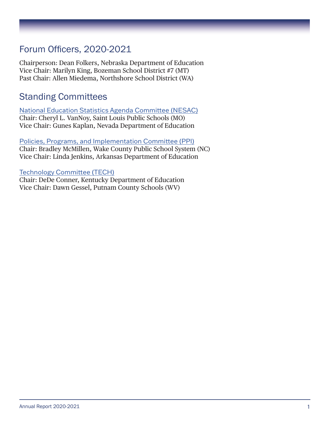## Forum Officers, 2020-2021

Chairperson: Dean Folkers, Nebraska Department of Education Vice Chair: Marilyn King, Bozeman School District #7 (MT) Past Chair: Allen Miedema, Northshore School District (WA)

## Standing Committees

National Education Statistics Agenda Committee (NESAC) Chair: Cheryl L. VanNoy, Saint Louis Public Schools (MO) Vice Chair: Gunes Kaplan, Nevada Department of Education

Policies, Programs, and Implementation Committee (PPI) Chair: Bradley McMillen, Wake County Public School System (NC) Vice Chair: Linda Jenkins, Arkansas Department of Education

#### Technology Committee (TECH)

Chair: DeDe Conner, Kentucky Department of Education Vice Chair: Dawn Gessel, Putnam County Schools (WV)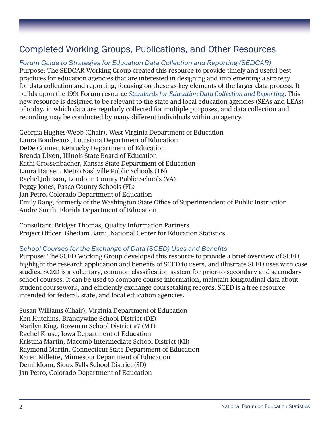## Completed Working Groups, Publications, and Other Resources

*[Forum Guide to Strategies for Education Data Collection and Reporting \(SEDCAR\)](https://nces.ed.gov/forum/pub_2021013.asp)*

Purpose: The SEDCAR Working Group created this resource to provide timely and useful best practices for education agencies that are interested in designing and implementing a strategy for data collection and reporting, focusing on these as key elements of the larger data process. It builds upon the 1991 Forum resource *[Standards for Education Data Collection and Reporting](https://nces.ed.gov/forum/pub_1991_92022.asp)*. This new resource is designed to be relevant to the state and local education agencies (SEAs and LEAs) of today, in which data are regularly collected for multiple purposes, and data collection and recording may be conducted by many different individuals within an agency.

Georgia Hughes-Webb (Chair), West Virginia Department of Education Laura Boudreaux, Louisiana Department of Education DeDe Conner, Kentucky Department of Education Brenda Dixon, Illinois State Board of Education Kathi Grossenbacher, Kansas State Department of Education Laura Hansen, Metro Nashville Public Schools (TN) Rachel Johnson, Loudoun County Public Schools (VA) Peggy Jones, Pasco County Schools (FL) Jan Petro, Colorado Department of Education Emily Rang, formerly of the Washington State Office of Superintendent of Public Instruction Andre Smith, Florida Department of Education

Consultant: Bridget Thomas, Quality Information Partners Project Officer: Ghedam Bairu, National Center for Education Statistics

#### *[School Courses for the Exchange of Data \(SCED\) Uses and Benefits](https://nces.ed.gov/forum/pub_2021023.asp)*

Purpose: The SCED Working Group developed this resource to provide a brief overview of SCED, highlight the research application and benefits of SCED to users, and illustrate SCED uses with case studies. SCED is a voluntary, common classification system for prior-to-secondary and secondary school courses. It can be used to compare course information, maintain longitudinal data about student coursework, and efficiently exchange coursetaking records. SCED is a free resource intended for federal, state, and local education agencies.

Susan Williams (Chair), Virginia Department of Education Ken Hutchins, Brandywine School District (DE) Marilyn King, Bozeman School District #7 (MT) Rachel Kruse, Iowa Department of Education Kristina Martin, Macomb Intermediate School District (MI) Raymond Martin, Connecticut State Department of Education Karen Millette, Minnesota Department of Education Demi Moon, Sioux Falls School District (SD) Jan Petro, Colorado Department of Education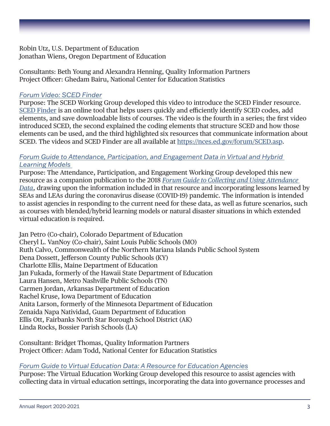Robin Utz, U.S. Department of Education Jonathan Wiens, Oregon Department of Education

Consultants: Beth Young and Alexandra Henning, Quality Information Partners Project Officer: Ghedam Bairu, National Center for Education Statistics

#### *[Forum Video: SCED Finder](https://nces.ed.gov/forum/sced_videos.asp)*

Purpose: The SCED Working Group developed this video to introduce the SCED Finder resource. [SCED Finder](https://nces.ed.gov/scedfinder) is an online tool that helps users quickly and efficiently identify SCED codes, add elements, and save downloadable lists of courses. The video is the fourth in a series; the first video introduced SCED, the second explained the coding elements that structure SCED and how those elements can be used, and the third highlighted six resources that communicate information about SCED. The videos and SCED Finder are all available at <https://nces.ed.gov/forum/SCED.asp>.

#### *[Forum Guide to Attendance, Participation, and Engagement Data in Virtual and Hybrid](https://nces.ed.gov/forum/pub_2021058.asp)  [Learning Models](https://nces.ed.gov/forum/pub_2021058.asp)*

Purpose: The Attendance, Participation, and Engagement Working Group developed this new resource as a companion publication to the 2018 *[Forum Guide to Collecting and Using Attendance](https://nces.ed.gov/forum/pub_2017007.asp)  [Data](https://nces.ed.gov/forum/pub_2017007.asp)*, drawing upon the information included in that resource and incorporating lessons learned by SEAs and LEAs during the coronavirus disease (COVID-19) pandemic. The information is intended to assist agencies in responding to the current need for these data, as well as future scenarios, such as courses with blended/hybrid learning models or natural disaster situations in which extended virtual education is required.

Jan Petro (Co-chair), Colorado Department of Education Cheryl L. VanNoy (Co-chair), Saint Louis Public Schools (MO) Ruth Calvo, Commonwealth of the Northern Mariana Islands Public School System Dena Dossett, Jefferson County Public Schools (KY) Charlotte Ellis, Maine Department of Education Jan Fukada, formerly of the Hawaii State Department of Education Laura Hansen, Metro Nashville Public Schools (TN) Carmen Jordan, Arkansas Department of Education Rachel Kruse, Iowa Department of Education Anita Larson, formerly of the Minnesota Department of Education Zenaida Napa Natividad, Guam Department of Education Ellis Ott, Fairbanks North Star Borough School District (AK) Linda Rocks, Bossier Parish Schools (LA)

Consultant: Bridget Thomas, Quality Information Partners Project Officer: Adam Todd, National Center for Education Statistics

#### *Forum Guide to Virtual Education Data: A Resource for Education Agencies*

Purpose: The Virtual Education Working Group developed this resource to assist agencies with collecting data in virtual education settings, incorporating the data into governance processes and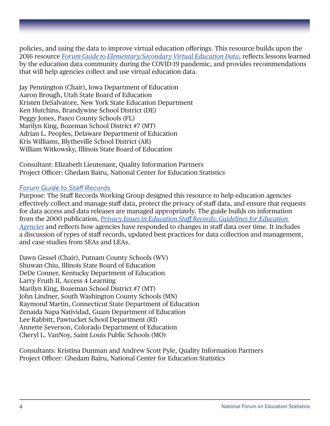policies, and using the data to improve virtual education offerings. This resource builds upon the 2016 resource *[Forum Guide to Elementary/Secondary Virtual Education Data](https://nces.ed.gov/forum/pub_2016095.asp)*, reflects lessons learned by the education data community during the COVID-19 pandemic, and provides recommendations that will help agencies collect and use virtual education data.

Jay Pennington (Chair), Iowa Department of Education Aaron Brough, Utah State Board of Education Kristen DeSalvatore, New York State Education Department Ken Hutchins, Brandywine School District (DE) Peggy Jones, Pasco County Schools (FL) Marilyn King, Bozeman School District #7 (MT) Adrian L. Peoples, Delaware Department of Education Kris Williams, Blytheville School District (AR) William Witkowsky, Illinois State Board of Education

Consultant: Elizabeth Lieutenant, Quality Information Partners Project Officer: Ghedam Bairu, National Center for Education Statistics

#### *Forum Guide to Staff Records*

Purpose: The Staff Records Working Group designed this resource to help education agencies effectively collect and manage staff data, protect the privacy of staff data, and ensure that requests for data access and data releases are managed appropriately. The guide builds on information from the 2000 publication, *[Privacy Issues in Education Staff Records: Guidelines for Education](https://nces.ed.gov/forum/pub_2000363.asp)  [Agencies](https://nces.ed.gov/forum/pub_2000363.asp)* and reflects how agencies have responded to changes in staff data over time. It includes a discussion of types of staff records, updated best practices for data collection and management, and case studies from SEAs and LEAs.

Dawn Gessel (Chair), Putnam County Schools (WV) Shuwan Chiu, Illinois State Board of Education DeDe Conner, Kentucky Department of Education Larry Fruth II, Access 4 Learning Marilyn King, Bozeman School District #7 (MT) John Lindner, South Washington County Schools (MN) Raymond Martin, Connecticut State Department of Education Zenaida Napa Natividad, Guam Department of Education Lee Rabbitt, Pawtucket School Department (RI) Annette Severson, Colorado Department of Education Cheryl L. VanNoy, Saint Louis Public Schools (MO)

Consultants: Kristina Dunman and Andrew Scott Pyle, Quality Information Partners Project Officer: Ghedam Bairu, National Center for Education Statistics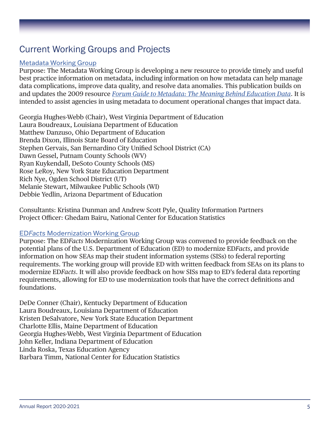# Current Working Groups and Projects

#### Metadata Working Group

Purpose: The Metadata Working Group is developing a new resource to provide timely and useful best practice information on metadata, including information on how metadata can help manage data complications, improve data quality, and resolve data anomalies. This publication builds on and updates the 2009 resource *[Forum Guide to Metadata: The Meaning Behind Education Data](https://nces.ed.gov/forum/pub_2009805.asp)*. It is intended to assist agencies in using metadata to document operational changes that impact data.

Georgia Hughes-Webb (Chair), West Virginia Department of Education Laura Boudreaux, Louisiana Department of Education Matthew Danzuso, Ohio Department of Education Brenda Dixon, Illinois State Board of Education Stephen Gervais, San Bernardino City Unified School District (CA) Dawn Gessel, Putnam County Schools (WV) Ryan Kuykendall, DeSoto County Schools (MS) Rose LeRoy, New York State Education Department Rich Nye, Ogden School District (UT) Melanie Stewart, Milwaukee Public Schools (WI) Debbie Yedlin, Arizona Department of Education

Consultants: Kristina Dunman and Andrew Scott Pyle, Quality Information Partners Project Officer: Ghedam Bairu, National Center for Education Statistics

#### ED*Facts* Modernization Working Group

Purpose: The ED*Facts* Modernization Working Group was convened to provide feedback on the potential plans of the U.S. Department of Education (ED) to modernize ED*Facts*, and provide information on how SEAs map their student information systems (SISs) to federal reporting requirements. The working group will provide ED with written feedback from SEAs on its plans to modernize ED*Facts*. It will also provide feedback on how SISs map to ED's federal data reporting requirements, allowing for ED to use modernization tools that have the correct definitions and foundations.

DeDe Conner (Chair), Kentucky Department of Education Laura Boudreaux, Louisiana Department of Education Kristen DeSalvatore, New York State Education Department Charlotte Ellis, Maine Department of Education Georgia Hughes-Webb, West Virginia Department of Education John Keller, Indiana Department of Education Linda Roska, Texas Education Agency Barbara Timm, National Center for Education Statistics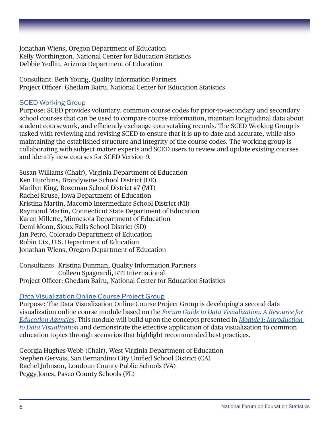Jonathan Wiens, Oregon Department of Education Kelly Worthington, National Center for Education Statistics Debbie Yedlin, Arizona Department of Education

Consultant: Beth Young, Quality Information Partners Project Officer: Ghedam Bairu, National Center for Education Statistics

#### SCED Working Group

Purpose: SCED provides voluntary, common course codes for prior-to-secondary and secondary school courses that can be used to compare course information, maintain longitudinal data about student coursework, and efficiently exchange coursetaking records. The SCED Working Group is tasked with reviewing and revising SCED to ensure that it is up to date and accurate, while also maintaining the established structure and integrity of the course codes. The working group is collaborating with subject matter experts and SCED users to review and update existing courses and identify new courses for SCED Version 9.

Susan Williams (Chair), Virginia Department of Education Ken Hutchins, Brandywine School District (DE) Marilyn King, Bozeman School District #7 (MT) Rachel Kruse, Iowa Department of Education Kristina Martin, Macomb Intermediate School District (MI) Raymond Martin, Connecticut State Department of Education Karen Millette, Minnesota Department of Education Demi Moon, Sioux Falls School District (SD) Jan Petro, Colorado Department of Education Robin Utz, U.S. Department of Education Jonathan Wiens, Oregon Department of Education

Consultants: Kristina Dunman, Quality Information Partners Colleen Spagnardi, RTI International Project Officer: Ghedam Bairu, National Center for Education Statistics

#### Data Visualization Online Course Project Group

Purpose: The Data Visualization Online Course Project Group is developing a second data visualization online course module based on the *[Forum Guide to Data Visualization: A Resource for](https://nces.ed.gov/forum/pub_2017016.asp)  [Education Agencies](https://nces.ed.gov/forum/pub_2017016.asp)*. This module will build upon the concepts presented in *[Module 1: Introduction](https://nces.ed.gov/forum/dv_course.asp)  [to Data Visualization](https://nces.ed.gov/forum/dv_course.asp)* and demonstrate the effective application of data visualization to common education topics through scenarios that highlight recommended best practices.

Georgia Hughes-Webb (Chair), West Virginia Department of Education Stephen Gervais, San Bernardino City Unified School District (CA) Rachel Johnson, Loudoun County Public Schools (VA) Peggy Jones, Pasco County Schools (FL)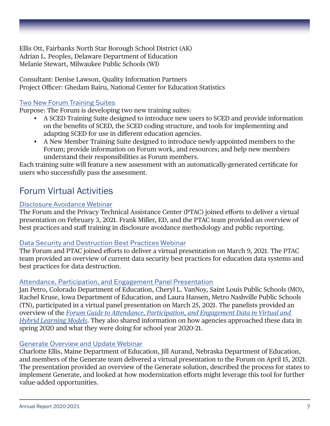Ellis Ott, Fairbanks North Star Borough School District (AK) Adrian L. Peoples, Delaware Department of Education Melanie Stewart, Milwaukee Public Schools (WI)

Consultant: Denise Lawson, Quality Information Partners Project Officer: Ghedam Bairu, National Center for Education Statistics

#### Two New Forum Training Suites

Purpose: The Forum is developing two new training suites:

- A SCED Training Suite designed to introduce new users to SCED and provide information on the benefits of SCED, the SCED coding structure, and tools for implementing and adapting SCED for use in different education agencies.
- A New Member Training Suite designed to introduce newly-appointed members to the Forum; provide information on Forum work, and resources; and help new members understand their responsibilities as Forum members.

Each training suite will feature a new assessment with an automatically-generated certificate for users who successfully pass the assessment.

## Forum Virtual Activities

#### Disclosure Avoidance Webinar

The Forum and the Privacy Technical Assistance Center (PTAC) joined efforts to deliver a virtual presentation on February 3, 2021. Frank Miller, ED, and the PTAC team provided an overview of best practices and staff training in disclosure avoidance methodology and public reporting.

#### Data Security and Destruction Best Practices Webinar

The Forum and PTAC joined efforts to deliver a virtual presentation on March 9, 2021. The PTAC team provided an overview of current data security best practices for education data systems and best practices for data destruction.

#### Attendance, Participation, and Engagement Panel Presentation

Jan Petro, Colorado Department of Education, Cheryl L. VanNoy, Saint Louis Public Schools (MO), Rachel Kruse, Iowa Department of Education, and Laura Hansen, Metro Nashville Public Schools (TN), participated in a virtual panel presentation on March 25, 2021. The panelists provided an overview of the *[Forum Guide to Attendance, Participation, and Engagement Data in Virtual and](https://nces.ed.gov/forum/pub_2021058.asp)  [Hybrid Learning Models](https://nces.ed.gov/forum/pub_2021058.asp)*. They also shared information on how agencies approached these data in spring 2020 and what they were doing for school year 2020-21.

#### Generate Overview and Update Webinar

Charlotte Ellis, Maine Department of Education, Jill Aurand, Nebraska Department of Education, and members of the Generate team delivered a virtual presentation to the Forum on April 15, 2021. The presentation provided an overview of the Generate solution, described the process for states to implement Generate, and looked at how modernization efforts might leverage this tool for further value-added opportunities.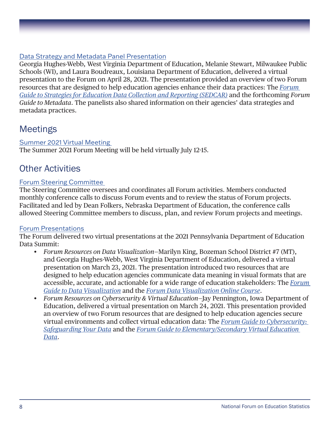#### Data Strategy and Metadata Panel Presentation

Georgia Hughes-Webb, West Virginia Department of Education, Melanie Stewart, Milwaukee Public Schools (WI), and Laura Boudreaux, Louisiana Department of Education, delivered a virtual presentation to the Forum on April 28, 2021. The presentation provided an overview of two Forum resources that are designed to help education agencies enhance their data practices: The *[Forum](https://nces.ed.gov/forum/pub_2021013.asp)  [Guide to Strategies for Education Data Collection and Reporting \(SEDCAR\)](https://nces.ed.gov/forum/pub_2021013.asp)* and the forthcoming *Forum Guide to Metadata*. The panelists also shared information on their agencies' data strategies and metadata practices.

### **Meetings**

#### Summer 2021 Virtual Meeting

The Summer 2021 Forum Meeting will be held virtually July 12-15.

## Other Activities

#### Forum Steering Committee

The Steering Committee oversees and coordinates all Forum activities. Members conducted monthly conference calls to discuss Forum events and to review the status of Forum projects. Facilitated and led by Dean Folkers, Nebraska Department of Education, the conference calls allowed Steering Committee members to discuss, plan, and review Forum projects and meetings.

#### Forum Presentations

The Forum delivered two virtual presentations at the 2021 Pennsylvania Department of Education Data Summit:

- *Forum Resources on Data Visualization*—Marilyn King, Bozeman School District #7 (MT), and Georgia Hughes-Webb, West Virginia Department of Education, delivered a virtual presentation on March 23, 2021. The presentation introduced two resources that are designed to help education agencies communicate data meaning in visual formats that are accessible, accurate, and actionable for a wide range of education stakeholders: The *[Forum](https://nces.ed.gov/forum/pub_2017016.asp)  [Guide to Data Visualization](https://nces.ed.gov/forum/pub_2017016.asp)* and the *[Forum Data Visualization Online Course](https://nces.ed.gov/forum/dv_course.asp)*.
- *Forum Resources on Cybersecurity & Virtual Education*—Jay Pennington, Iowa Department of Education, delivered a virtual presentation on March 24, 2021. This presentation provided an overview of two Forum resources that are designed to help education agencies secure virtual environments and collect virtual education data: The *[Forum Guide to Cybersecurity:](https://nces.ed.gov/forum/pub_2020137.asp)  [Safeguarding Your Data](https://nces.ed.gov/forum/pub_2020137.asp)* and the *[Forum Guide to Elementary/Secondary Virtual Education](https://nces.ed.gov/forum/pub_2016095.asp)  [Data](https://nces.ed.gov/forum/pub_2016095.asp)*.